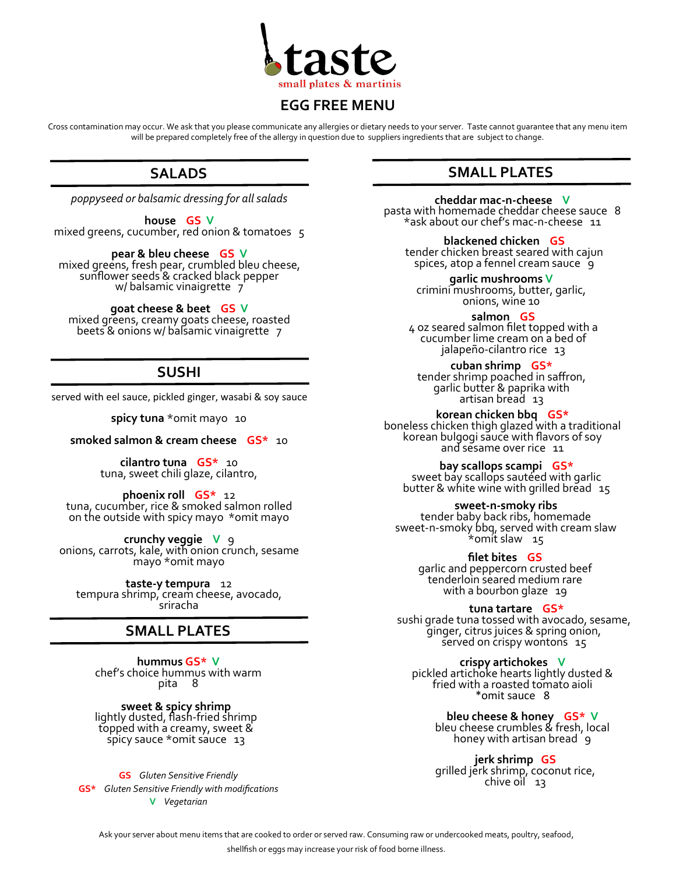

## **EGG FREE MENU**

Cross contamination may occur. We ask that you please communicate any allergies or dietary needs to your server. Taste cannot guarantee that any menu item will be prepared completely free of the allergy in question due to suppliers ingredients that are subject to change.

## **SALADS**

*poppyseed or balsamic dressing for all salads*

**house GS V** mixed greens, cucumber, red onion & tomatoes 5

**pear & bleu cheese GS V** mixed greens, fresh pear, crumbled bleu cheese, sunflower seeds & cracked black pepper w/ balsamic vinaigrette 7

**goat cheese & beet GS V** mixed greens, creamy goats cheese, roasted beets & onions w/ balsamic vinaigrette 7

# **SUSHI**

served with eel sauce, pickled ginger, wasabi & soy sauce

spicy tuna \*omit mayo 10

#### **smoked salmon & cream cheese GS\*** 10

**cilantro tuna GS\*** 10 tuna, sweet chili glaze, cilantro,

**phoenix roll GS\*** 12 tuna, cucumber, rice & smoked salmon rolled on the outside with spicy mayo \*omit mayo

**crunchy veggie V** 9 onions, carrots, kale, with onion crunch, sesame mayo \*omit mayo

**taste-y tempura** 12 tempura shrimp, cream cheese, avocado, sriracha

## **SMALL PLATES**

**hummus GS\* V** chef's choice hummus with warm pita 8

**sweet & spicy shrimp** lightly dusted, flash-fried shrimp topped with a creamy, sweet & spicy sauce \*omit sauce 13

**GS** *Gluten Sensitive Friendly* **GS\*** *Gluten Sensitive Friendly with modifications* **V** *Vegetarian*

# **SMALL PLATES**

**cheddar mac-n-cheese V** pasta with homemade cheddar cheese sauce 8 \*ask about our chef's mac-n-cheese 11

**blackened chicken GS** tender chicken breast seared with cajun spices, atop a fennel cream sauce 9

**garlic mushrooms V** crimini mushrooms, butter, garlic, onions, wine 10

**salmon GS** 4 oz seared salmon filet topped with a cucumber lime cream on a bed of jalapeño-cilantro rice 13

**cuban shrimp GS\*** tender shrimp poached in saffron, garlic butter & paprika with artisan bread 13

**korean chicken bbq GS\*** boneless chicken thigh glazed with a traditional korean bulgogi sauce with flavors of soy and sesame over rice 11

**bay scallops scampi GS\*** sweet bay scallops sautéed with garlic butter & white wine with grilled bread 15

**sweet-n-smoky ribs** 

tender baby back ribs, homemade sweet-n-smoky bbq, served with cream slaw \*omit slaw 15

> **filet bites GS** garlic and peppercorn crusted beef tenderloin seared medium rare with a bourbon glaze 19

> > **tuna tartare GS\***

sushi grade tuna tossed with avocado, sesame, ginger, citrus juices & spring onion, served on crispy wontons 15

**crispy artichokes V** pickled artichoke hearts lightly dusted & fried with a roasted tomato aioli \*omit sauce 8

> **bleu cheese & honey GS\* V** bleu cheese crumbles & fresh, local honey with artisan bread  $\mathfrak{g}$

**jerk shrimp GS** grilled jerk shrimp, coconut rice, chive oil 13

Ask your server about menu items that are cooked to order or served raw. Consuming raw or undercooked meats, poultry, seafood, shellfish or eggs may increase your risk of food borne illness.